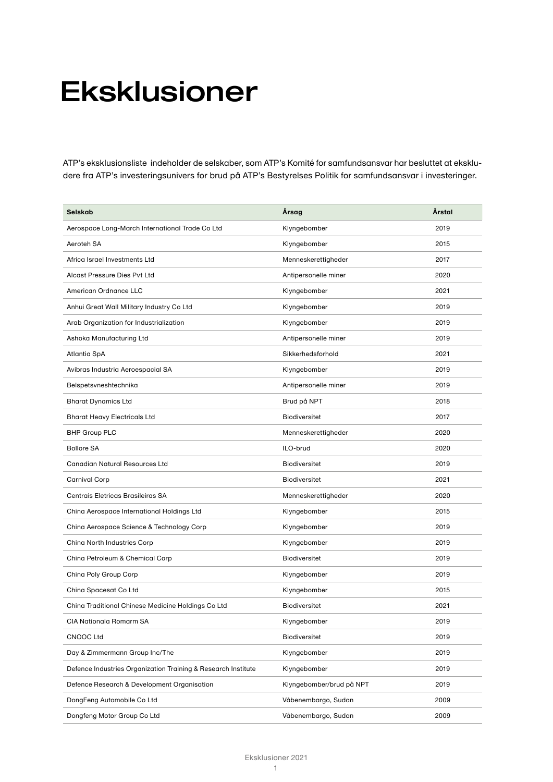## Eksklusioner

ATP's eksklusionsliste indeholder de selskaber, som ATP's Komité for samfundsansvar har besluttet at ekskludere fra ATP's investeringsunivers for brud på ATP's Bestyrelses Politik for samfundsansvar i investeringer.

| Selskab                                                       | Årsag                    | Årstal |
|---------------------------------------------------------------|--------------------------|--------|
| Aerospace Long-March International Trade Co Ltd               | Klyngebomber             | 2019   |
| Aeroteh SA                                                    | Klyngebomber             | 2015   |
| Africa Israel Investments Ltd                                 | Menneskerettigheder      | 2017   |
| Alcast Pressure Dies Pvt Ltd                                  | Antipersonelle miner     | 2020   |
| American Ordnance LLC                                         | Klyngebomber             | 2021   |
| Anhui Great Wall Military Industry Co Ltd                     | Klyngebomber             | 2019   |
| Arab Organization for Industrialization                       | Klyngebomber             | 2019   |
| Ashoka Manufacturing Ltd                                      | Antipersonelle miner     | 2019   |
| Atlantia SpA                                                  | Sikkerhedsforhold        | 2021   |
| Avibras Industria Aeroespacial SA                             | Klyngebomber             | 2019   |
| Belspetsvneshtechnika                                         | Antipersonelle miner     | 2019   |
| <b>Bharat Dynamics Ltd</b>                                    | Brud på NPT              | 2018   |
| <b>Bharat Heavy Electricals Ltd</b>                           | <b>Biodiversitet</b>     | 2017   |
| <b>BHP Group PLC</b>                                          | Menneskerettigheder      | 2020   |
| <b>Bollore SA</b>                                             | ILO-brud                 | 2020   |
| <b>Canadian Natural Resources Ltd</b>                         | <b>Biodiversitet</b>     | 2019   |
| <b>Carnival Corp</b>                                          | <b>Biodiversitet</b>     | 2021   |
| Centrais Eletricas Brasileiras SA                             | Menneskerettigheder      | 2020   |
| China Aerospace International Holdings Ltd                    | Klyngebomber             | 2015   |
| China Aerospace Science & Technology Corp                     | Klyngebomber             | 2019   |
| China North Industries Corp                                   | Klyngebomber             | 2019   |
| China Petroleum & Chemical Corp                               | <b>Biodiversitet</b>     | 2019   |
| China Poly Group Corp                                         | Klyngebomber             | 2019   |
| China Spacesat Co Ltd                                         | Klyngebomber             | 2015   |
| China Traditional Chinese Medicine Holdings Co Ltd            | Biodiversitet            | 2021   |
| CIA Nationala Romarm SA                                       | Klyngebomber             | 2019   |
| <b>CNOOC Ltd</b>                                              | Biodiversitet            | 2019   |
| Day & Zimmermann Group Inc/The                                | Klyngebomber             | 2019   |
| Defence Industries Organization Training & Research Institute | Klyngebomber             | 2019   |
| Defence Research & Development Organisation                   | Klyngebomber/brud på NPT | 2019   |
| DongFeng Automobile Co Ltd                                    | Våbenembargo, Sudan      | 2009   |
| Dongfeng Motor Group Co Ltd                                   | Våbenembargo, Sudan      | 2009   |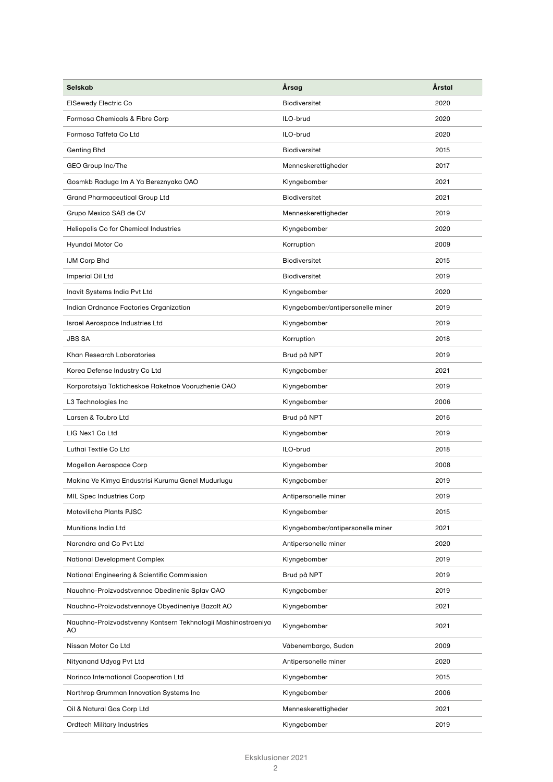| <b>Selskab</b>                                                      | Årsag                             | Årstal |
|---------------------------------------------------------------------|-----------------------------------|--------|
| <b>ElSewedy Electric Co</b>                                         | <b>Biodiversitet</b>              | 2020   |
| Formosa Chemicals & Fibre Corp                                      | ILO-brud                          | 2020   |
| Formosa Taffeta Co Ltd                                              | ILO-brud                          | 2020   |
| Genting Bhd                                                         | <b>Biodiversitet</b>              | 2015   |
| GEO Group Inc/The                                                   | Menneskerettigheder               | 2017   |
| Gosmkb Raduga Im A Ya Bereznyaka OAO                                | Klyngebomber                      | 2021   |
| <b>Grand Pharmaceutical Group Ltd</b>                               | <b>Biodiversitet</b>              | 2021   |
| Grupo Mexico SAB de CV                                              | Menneskerettigheder               | 2019   |
| Heliopolis Co for Chemical Industries                               | Klyngebomber                      | 2020   |
| Hyundai Motor Co                                                    | Korruption                        | 2009   |
| IJM Corp Bhd                                                        | <b>Biodiversitet</b>              | 2015   |
| Imperial Oil Ltd                                                    | <b>Biodiversitet</b>              | 2019   |
| Inavit Systems India Pvt Ltd                                        | Klyngebomber                      | 2020   |
| Indian Ordnance Factories Organization                              | Klyngebomber/antipersonelle miner | 2019   |
| Israel Aerospace Industries Ltd                                     | Klyngebomber                      | 2019   |
| <b>JBS SA</b>                                                       | Korruption                        | 2018   |
| Khan Research Laboratories                                          | Brud på NPT                       | 2019   |
| Korea Defense Industry Co Ltd                                       | Klyngebomber                      | 2021   |
| Korporatsiya Takticheskoe Raketnoe Vooruzhenie OAO                  | Klyngebomber                      | 2019   |
| L3 Technologies Inc                                                 | Klyngebomber                      | 2006   |
| Larsen & Toubro Ltd                                                 | Brud på NPT                       | 2016   |
| LIG Nex1 Co Ltd                                                     | Klyngebomber                      | 2019   |
| Luthai Textile Co Ltd                                               | ILO-brud                          | 2018   |
| Magellan Aerospace Corp                                             | Klyngebomber                      | 2008   |
| Makina Ve Kimya Endustrisi Kurumu Genel Mudurlugu                   | Klyngebomber                      | 2019   |
| MIL Spec Industries Corp                                            | Antipersonelle miner              | 2019   |
| Motovilicha Plants PJSC                                             | Klyngebomber                      | 2015   |
| Munitions India Ltd                                                 | Klyngebomber/antipersonelle miner | 2021   |
| Narendra and Co Pvt Ltd                                             | Antipersonelle miner              | 2020   |
| <b>National Development Complex</b>                                 | Klyngebomber                      | 2019   |
| National Engineering & Scientific Commission                        | Brud på NPT                       | 2019   |
| Nauchno-Proizvodstvennoe Obedinenie Splav OAO                       | Klyngebomber                      | 2019   |
| Nauchno-Proizvodstvennoye Obyedineniye Bazalt AO                    | Klyngebomber                      | 2021   |
| Nauchno-Proizvodstvenny Kontsern Tekhnologii Mashinostroeniya<br>AO | Klyngebomber                      | 2021   |
| Nissan Motor Co Ltd                                                 | Våbenembargo, Sudan               | 2009   |
| Nityanand Udyog Pvt Ltd                                             | Antipersonelle miner              | 2020   |
| Norinco International Cooperation Ltd                               | Klyngebomber                      | 2015   |
| Northrop Grumman Innovation Systems Inc                             | Klyngebomber                      | 2006   |
| Oil & Natural Gas Corp Ltd                                          | Menneskerettigheder               | 2021   |
| Ordtech Military Industries                                         | Klyngebomber                      | 2019   |